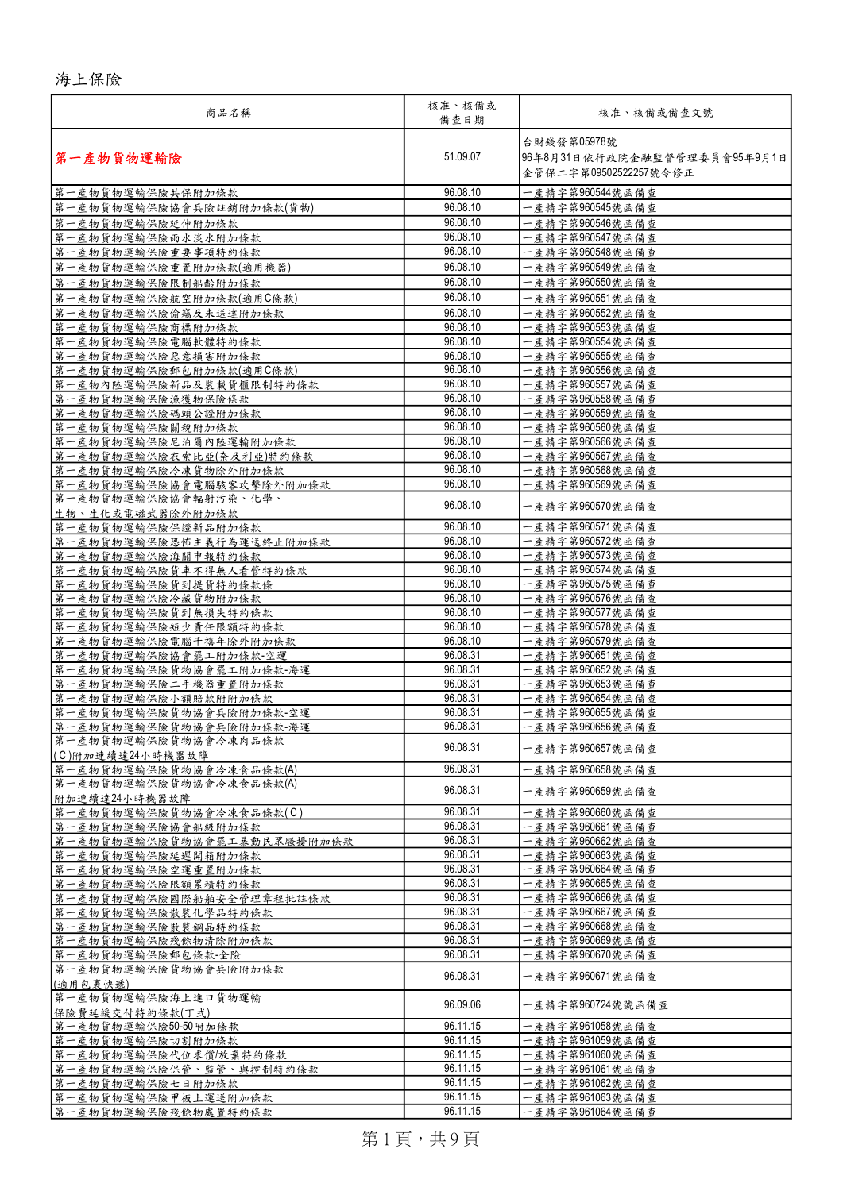## 海上保險

| 商品名稱                                            | 核准、核備或<br>備查日期       | 核准、核備或備查文號                                                            |
|-------------------------------------------------|----------------------|-----------------------------------------------------------------------|
| 第一產物貨物運輸險                                       | 51.09.07             | 台財錢發第05978號<br> 96年8月31日依行政院金融監督管理委員會95年9月1日<br>金管保二字第09502522257號令修正 |
| 第一產物貨物運輸保險共保附加條款                                | 96.08.10             | 一產精字第960544號函備查                                                       |
| 第一產物貨物運輸保險協會兵險註銷附加條款(貨物)                        | 96.08.10             | 一產精字第960545號函備查                                                       |
| 第一產物貨物運輸保險延伸附加條款                                | 96.08.10             | 一產精字第960546號函備查                                                       |
| 第一產物貨物運輸保險雨水淡水附加條款                              | 96.08.10             | 一產精字第960547號函備查                                                       |
| 第一產物貨物運輸保險重要事項特約條款                              | 96.08.10             | 一產精字第960548號函備查                                                       |
| 第一產物貨物運輸保險重置附加條款(適用機器)                          | 96.08.10             | 一產精字第960549號函備查                                                       |
| 第一產物貨物運輸保險限制船齡附加條款                              | 96.08.10             | 一產精字第960550號函備查                                                       |
| 第一產物貨物運輸保險航空附加條款(適用C條款)                         | 96.08.10             | 一產精字第960551號函備查                                                       |
| 第一產物貨物運輸保險偷竊及未送達附加條款                            | 96.08.10             | 一產精字第960552號函備查                                                       |
| 第一產物貨物運輸保險商標附加條款                                | 96.08.10             | 一產精字第960553號函備查                                                       |
| 第一產物貨物運輸保險電腦軟體特約條款                              | 96.08.10             | 一產精字第960554號函備查                                                       |
| 第一產物貨物運輸保險惡意損害附加條款                              | 96.08.10             | 一產精字第960555號函備查                                                       |
| 第一產物貨物運輸保險郵包附加條款(適用C條款)                         | 96.08.10             | 一產精字第960556號函備查                                                       |
| 第一產物內陸運輸保險新品及裝載貨櫃限制特約條款                         | 96.08.10             | 一產精字第960557號函備查                                                       |
| 第一產物貨物運輸保險漁獲物保險條款                               | 96.08.10             | 一產精字第960558號函備查                                                       |
| 第一產物貨物運輸保險碼頭公證附加條款                              | 96.08.10             | 一產精字第960559號函備查                                                       |
| 第一產物貨物運輸保險關稅附加條款                                | 96.08.10             | 一產精字第960560號函備查                                                       |
| 第一產物貨物運輸保險尼泊爾內陸運輸附加條款                           | 96.08.10             | 一產精字第960566號函備查                                                       |
| 第一產物貨物運輸保險衣索比亞(奈及利亞)特約條款                        | 96.08.10             | 一產精字第960567號函備查                                                       |
| 第一產物貨物運輸保險冷凍貨物除外附加條款                            | 96.08.10             | 一產精字第960568號函備查                                                       |
| 第一產物貨物運輸保險協會電腦駭客攻擊除外附加條款                        | 96.08.10             | 一產精字第960569號函備杳                                                       |
| 第一產物貨物運輸保險協會輻射污染、化學、<br>生物、生化或電磁武器除外附加條款        | 96.08.10             | 一產精字第960570號函備查                                                       |
| 第一產物貨物運輸保險保證新品附加條款                              | 96.08.10             | 一產精字第960571號函備查                                                       |
| 第一產物貨物運輸保險恐怖主義行為運送終止附加條款                        | 96.08.10             | 一產精字第960572號函備查                                                       |
| 第一產物貨物運輸保險海關申報特約條款                              | 96.08.10             | 一產精字第960573號函備查                                                       |
| 第一產物貨物運輸保險貨車不得無人看管特約條款                          | 96.08.10             | 一產精字第960574號函備查                                                       |
| 第一產物貨物運輸保險貨到提貨特約條款條                             | 96.08.10             | 一產精字第960575號函備查                                                       |
| 第一產物貨物運輸保險冷藏貨物附加條款                              | 96.08.10             | 一產精字第960576號函備查                                                       |
| 第一產物貨物運輸保險貨到無損失特約條款                             | 96.08.10             | 一產精字第960577號函備查                                                       |
| 第一產物貨物運輸保險短少責任限額特約條款                            | 96.08.10             | 一產精字第960578號函備查                                                       |
| 第一產物貨物運輸保險電腦千禧年除外附加條款                           | 96.08.10             | 一產精字第960579號函備查                                                       |
| 第一產物貨物運輸保險協會罷工附加條款-空運                           | 96.08.31             | 一產精字第960651號函備查                                                       |
| 第一產物貨物運輸保險貨物協會罷工附加條款-海運                         | 96.08.31             | 一產精字第960652號函備查                                                       |
| 第一產物貨物運輸保險二手機器重置附加條款                            | 96.08.31             | 一產精字第960653號函備查                                                       |
| 第一產物貨物運輸保險小額賠款附附加條款                             | 96.08.31             | 一產精字第960654號函備查                                                       |
| 第一產物貨物運輸保險貨物協會兵險附加條款-空運                         | 96.08.31<br>96.08.31 | 一產精字第960655號函備查                                                       |
| 第一產物貨物運輸保險貨物協會兵險附加條款-海運<br>第一產物貨物運輸保險貨物協會冷凍肉品條款 |                      | 一產精字第960656號函備查                                                       |
| (C)附加連續達24小時機器故障                                | 96.08.31             | 一產精字第960657號函備查                                                       |
| 第一產物貨物運輸保險貨物協會冷凍食品條款(A)                         | 96.08.31             | 一產精字第960658號函備查                                                       |
| 第一產物貨物運輸保險貨物協會冷凍食品條款(A)<br>附加連續達24小時機器故障        | 96.08.31             | 一產精字第960659號函備查                                                       |
| 第一產物貨物運輸保險貨物協會冷凍食品條款(C)                         | 96.08.31             | 一產精字第960660號函備查                                                       |
| 第一產物貨物運輸保險協會船級附加條款                              | 96.08.31             | 一產精字第960661號函備查                                                       |
| 第一產物貨物運輸保險貨物協會罷工暴動民眾騷擾附加條款                      | 96.08.31             | 一產精字第960662號函備查                                                       |
| 第一產物貨物運輸保險延遲開箱附加條款                              | 96.08.31             | 一產精字第960663號函備查                                                       |
| 第一產物貨物運輸保險空運重置附加條款                              | 96.08.31             | 一產精字第960664號函備查                                                       |
| 第一產物貨物運輸保險限額累積特約條款                              | 96.08.31             | 一產精字第960665號函備查                                                       |
| 第一產物貨物運輸保險國際船舶安全管理章程批註條款                        | 96.08.31             | 一產精字第960666號函備查                                                       |
| 第一產物貨物運輸保險散裝化學品特約條款                             | 96.08.31             | 一產精字第960667號函備查                                                       |
| 第一產物貨物運輸保險散裝鋼品特約條款                              | 96.08.31             | 一產精字第960668號函備查                                                       |
| 第一產物貨物運輸保險殘餘物清除附加條款                             | 96.08.31             | 一產精字第960669號函備查                                                       |
| 第一產物貨物運輸保險郵包條款-全險                               | 96.08.31             | 一產精字第960670號函備查                                                       |
| 第一產物貨物運輸保險貨物協會兵險附加條款<br>(適用包裹快遞)                | 96.08.31             | 一產精字第960671號函備查                                                       |
| 第一產物貨物運輸保險海上進口貨物運輸<br>保險費延緩交付特約條款(丁式)           | 96.09.06             | 一產精字第960724號號函備查                                                      |
| 第一產物貨物運輸保險50-50附加條款                             | 96.11.15             | 一產精字第961058號函備查                                                       |
| 第一產物貨物運輸保險切割附加條款                                | 96.11.15             | 一產精字第961059號函備查                                                       |
| 第一產物貨物運輸保險代位求償/放棄特約條款                           | 96.11.15             | 一產精字第961060號函備查                                                       |
| 第一產物貨物運輸保險保管、監管、與控制特約條款                         | 96.11.15             | 一產精字第961061號函備查                                                       |
| 第一產物貨物運輸保險七日附加條款                                | 96.11.15             | 一產精字第961062號函備查                                                       |
| 第一產物貨物運輸保險甲板上運送附加條款                             | 96.11.15             | 一產精字第961063號函備查                                                       |
| 第一產物貨物運輸保險殘餘物處置特約條款                             | 96.11.15             | 一產精字第961064號函備查                                                       |

第1頁,共9頁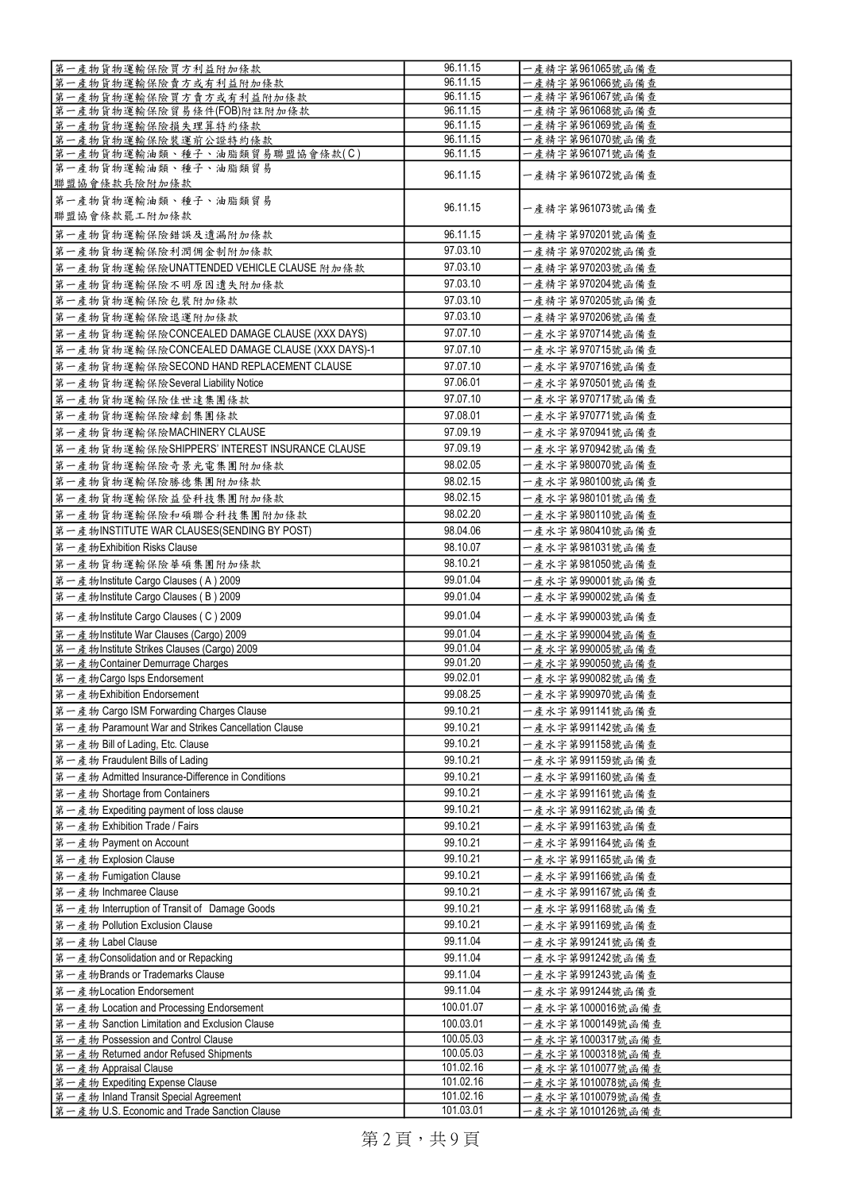| 第一產物貨物運輸保險買方利益附加條款                                                                    | 96.11.15               | 一產精字第961065號函備查                      |
|---------------------------------------------------------------------------------------|------------------------|--------------------------------------|
| 第一產物貨物運輸保險賣方或有利益附加條款                                                                  | 96.11.15               | 一產精字第961066號函備查                      |
| 第一產物貨物運輸保險買方賣方或有利益附加條款                                                                | 96.11.15               | 一產精字第961067號函備查                      |
| 第一產物貨物運輸保險貿易條件(FOB)附註附加條款                                                             | 96.11.15               |                                      |
|                                                                                       | 96.11.15               | 一產精字第961068號函備查                      |
| 第一產物貨物運輸保險損失理算特約條款                                                                    |                        | 一產精字第961069號函備查                      |
| 第一產物貨物運輸保險裝運前公證特約條款                                                                   | 96.11.15               | 一產精字第961070號函備查                      |
| 第一產物貨物運輸油類、種子、油脂類貿易聯盟協會條款(C)                                                          | 96.11.15               | 一產精字第961071號函備查                      |
| 第一產物貨物運輸油類、種子、油脂類貿易<br>聯盟協會條款兵險附加條款                                                   | 96.11.15               | 一產精字第961072號函備查                      |
| 第一產物貨物運輸油類、種子、油脂類貿易                                                                   |                        |                                      |
| 聯盟協會條款罷工附加條款                                                                          | 96.11.15               | 一產精字第961073號函備查                      |
| 第一產物貨物運輸保險錯誤及遺漏附加條款                                                                   | 96.11.15               | 一產精字第970201號函備查                      |
| 第一產物貨物運輸保險利潤佣金制附加條款                                                                   | 97.03.10               | 一產精字第970202號函備查                      |
| 第一產物貨物運輸保險UNATTENDED VEHICLE CLAUSE 附加條款                                              | 97.03.10               | 一產精字第970203號函備查                      |
| 第一產物貨物運輸保險不明原因遺失附加條款                                                                  | 97.03.10               | 一產精字第970204號函備查                      |
| 第一產物貨物運輸保險包裝附加條款                                                                      | 97.03.10               | 一產精字第970205號函備查                      |
| 第一產物貨物運輸保險退運附加條款                                                                      | 97.03.10               | 一產精字第970206號函備查                      |
|                                                                                       |                        |                                      |
| 第一產物貨物運輸保險CONCEALED DAMAGE CLAUSE (XXX DAYS)                                          | 97.07.10               | 一產水字第970714號函備查                      |
| 第一產物貨物運輸保險CONCEALED DAMAGE CLAUSE (XXX DAYS)-1                                        | 97.07.10               | 一產水字第970715號函備查                      |
| 第一產物貨物運輸保險SECOND HAND REPLACEMENT CLAUSE                                              | 97.07.10               | 一產水字第970716號函備查                      |
| 第一產物貨物運輸保險Several Liability Notice                                                    | 97.06.01               | 一產水字第970501號函備查                      |
| 第一產物貨物運輸保險佳世達集團條款                                                                     | 97.07.10               | 一產水字第970717號函備查                      |
| 第一產物貨物運輸保險緯創集團條款                                                                      | 97.08.01               | 一產水字第970771號函備查                      |
| 第一產物貨物運輸保險MACHINERY CLAUSE                                                            | 97.09.19               | 一產水字第970941號函備查                      |
| 第一產物貨物運輸保險SHIPPERS' INTEREST INSURANCE CLAUSE                                         | 97.09.19               | 一產水字第970942號函備查                      |
|                                                                                       | 98.02.05               |                                      |
| 第一產物貨物運輸保險奇景光電集團附加條款                                                                  |                        | 一產水字第980070號函備查                      |
| 第一產物貨物運輸保險勝德集團附加條款                                                                    | 98.02.15               | 一產水字第980100號函備查                      |
| 第一產物貨物運輸保險益登科技集團附加條款                                                                  | 98.02.15               | 一產水字第980101號函備查                      |
| 第一產物貨物運輸保險和碩聯合科技集團附加條款                                                                | 98.02.20               | 一產水字第980110號函備查                      |
| 第一產物INSTITUTE WAR CLAUSES(SENDING BY POST)                                            | 98.04.06               | 一產水字第980410號函備查                      |
| 第一產物Exhibition Risks Clause                                                           | 98.10.07               | 一產水字第981031號函備查                      |
| 第一產物貨物運輸保險華碩集團附加條款                                                                    | 98.10.21               | 一產水字第981050號函備查                      |
| 第一產物Institute Cargo Clauses (A) 2009                                                  | 99.01.04               | 一產水字第990001號函備查                      |
|                                                                                       |                        |                                      |
| 第一產物Institute Cargo Clauses (B) 2009                                                  | 99.01.04               | 一產水字第990002號函備查                      |
| 第一產物Institute Cargo Clauses (C) 2009                                                  | 99.01.04               | 一產水字第990003號函備查                      |
|                                                                                       |                        | 一產水字第990004號函備查                      |
| 第一產物Institute War Clauses (Cargo) 2009                                                | 99.01.04               |                                      |
| 第一產物Institute Strikes Clauses (Cargo) 2009                                            | 99.01.04               | 一產水字第990005號函備查                      |
| 第一產物Container Demurrage Charges                                                       | 99.01.20               | 一產水字第990050號函備查                      |
|                                                                                       | 99.02.01               | 一產水字第990082號函備查                      |
| 第一產物Cargo Isps Endorsement                                                            |                        |                                      |
| 第一產物Exhibition Endorsement                                                            | 99.08.25               | ·產水字第990970號函備查                      |
| 第一產物 Cargo ISM Forwarding Charges Clause                                              | 99.10.21               | 一產水字第991141號函備查                      |
| 第一產物 Paramount War and Strikes Cancellation Clause                                    | 99.10.21               | 一產水字第991142號函備查                      |
| 第一產物 Bill of Lading, Etc. Clause                                                      | 99.10.21               | 一產水字第991158號函備查                      |
| 第一產物 Fraudulent Bills of Lading                                                       | 99.10.21               | 一產水字第991159號函備查                      |
| 第一產物 Admitted Insurance-Difference in Conditions                                      | 99.10.21               | 一產水字第991160號函備查                      |
| 第一產物 Shortage from Containers                                                         | 99.10.21               | 一產水字第991161號函備查                      |
| 第一產物 Expediting payment of loss clause                                                | 99.10.21               | 一產水字第991162號函備查                      |
| 第一產物 Exhibition Trade / Fairs                                                         | 99.10.21               | 一產水字第991163號函備查                      |
|                                                                                       | 99.10.21               | 一產水字第991164號函備查                      |
| 第一產物 Payment on Account                                                               |                        |                                      |
| 第一產物 Explosion Clause                                                                 | 99.10.21               | 一產水字第991165號函備查                      |
| 第一產物 Fumigation Clause                                                                | 99.10.21               | 一產水字第991166號函備查                      |
| 第一產物 Inchmaree Clause                                                                 | 99.10.21               | 一產水字第991167號函備查                      |
| 第一產物 Interruption of Transit of Damage Goods                                          | 99.10.21               | 一產水字第991168號函備查                      |
| 第一產物 Pollution Exclusion Clause                                                       | 99.10.21               | 一產水字第991169號函備查                      |
| 第一產物 Label Clause                                                                     | 99.11.04               | 一產水字第991241號函備查                      |
| 第一產物Consolidation and or Repacking                                                    | 99.11.04               | 一產水字第991242號函備查                      |
| 第一產物Brands or Trademarks Clause                                                       | 99.11.04               | 一產水字第991243號函備查                      |
|                                                                                       |                        |                                      |
| 第一產物Location Endorsement                                                              | 99.11.04               | 一產水字第991244號函備查                      |
| 第一產物 Location and Processing Endorsement                                              | 100.01.07              | 一產水字第1000016號函備查                     |
| 第一產物 Sanction Limitation and Exclusion Clause                                         | 100.03.01              | 一產水字第1000149號函備查                     |
| 第一產物 Possession and Control Clause                                                    | 100.05.03              | 一產水字第1000317號函備查                     |
| 第一產物 Returned andor Refused Shipments                                                 | 100.05.03              | 一產水字第1000318號函備查                     |
| 第一產物 Appraisal Clause                                                                 | 101.02.16              | 一產水字第1010077號函備查                     |
| 第一產物 Expediting Expense Clause                                                        | 101.02.16              | 一產水字第1010078號函備查                     |
| 第一產物 Inland Transit Special Agreement<br>第一產物 U.S. Economic and Trade Sanction Clause | 101.02.16<br>101.03.01 | 一產水字第1010079號函備查<br>一產水字第1010126號函備查 |

第2頁,共9頁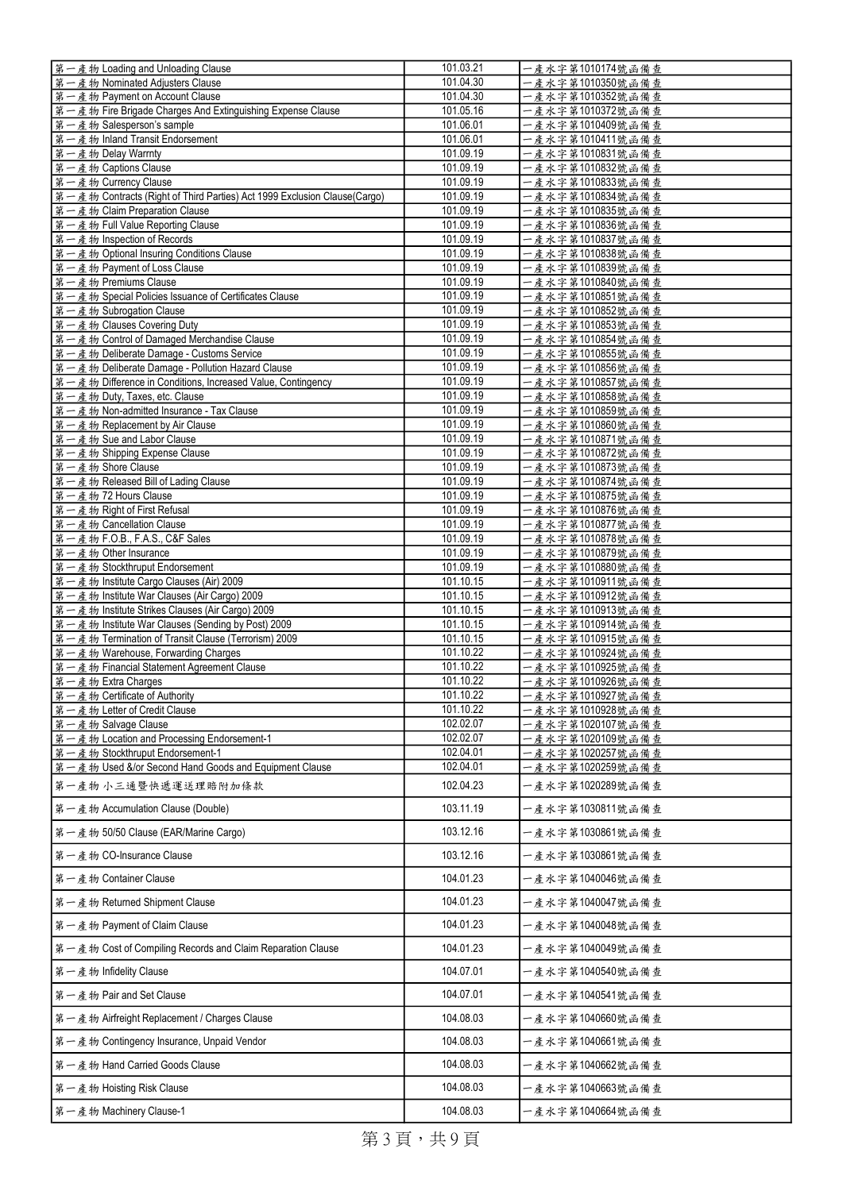| 第一產物 Loading and Unloading Clause                                                            | 101.03.21              | 一產水字第1010174號函備查                     |
|----------------------------------------------------------------------------------------------|------------------------|--------------------------------------|
| 第一產物 Nominated Adjusters Clause                                                              | 101.04.30              | 一產水字第1010350號函備查                     |
| 第一產物 Payment on Account Clause                                                               | 101.04.30              | 一產水字第1010352號函備查                     |
| 第一產物 Fire Brigade Charges And Extinguishing Expense Clause                                   | 101.05.16              | 一產水字第1010372號函備查                     |
| 第一產物 Salesperson's sample                                                                    | 101.06.01              | 一產水字第1010409號函備查                     |
| 第一產物 Inland Transit Endorsement                                                              | 101.06.01              | 一產水字第1010411號函備查                     |
| 第一產物 Delay Warrnty                                                                           | 101.09.19              | 一產水字第1010831號函備查                     |
| 第一產物 Captions Clause                                                                         | 101.09.19              | 一產水字第1010832號函備查                     |
| 第一產物 Currency Clause                                                                         | 101.09.19              | 一產水字第1010833號函備查                     |
| 第一產物 Contracts (Right of Third Parties) Act 1999 Exclusion Clause(Cargo)                     | 101.09.19              | 一產水字第1010834號函備查                     |
| 第一產物 Claim Preparation Clause                                                                | 101.09.19              | 一產水字第1010835號函備查                     |
| 第一產物 Full Value Reporting Clause                                                             | 101.09.19              | 一產水字第1010836號函備查                     |
| 第一產物 Inspection of Records                                                                   | 101.09.19              | 一產水字第1010837號函備查                     |
| 第一產物 Optional Insuring Conditions Clause                                                     | 101.09.19              | 一產水字第1010838號函備查                     |
| 第一產物 Payment of Loss Clause                                                                  | 101.09.19              | 一產水字第1010839號函備查                     |
| 第一產物 Premiums Clause                                                                         | 101.09.19              | 一產水字第1010840號函備查                     |
| 第一產物 Special Policies Issuance of Certificates Clause                                        | 101.09.19              | 一產水字第1010851號函備查                     |
| 第一產物 Subrogation Clause                                                                      | 101.09.19              | 一產水字第1010852號函備查                     |
| 第一產物 Clauses Covering Duty                                                                   | 101.09.19              | 一產水字第1010853號函備查                     |
| 第一產物 Control of Damaged Merchandise Clause                                                   | 101.09.19<br>101.09.19 | 一產水字第1010854號函備查<br>一產水字第1010855號函備查 |
| 第一產物 Deliberate Damage - Customs Service<br>第一產物 Deliberate Damage - Pollution Hazard Clause | 101.09.19              | 一產水字第1010856號函備查                     |
| 第一產物 Difference in Conditions, Increased Value, Contingency                                  | 101.09.19              | 一產水字第1010857號函備查                     |
| 第一產物 Duty, Taxes, etc. Clause                                                                | 101.09.19              | 一產水字第1010858號函備查                     |
| 第一產物 Non-admitted Insurance - Tax Clause                                                     | 101.09.19              | 一產水字第1010859號函備查                     |
| 第一產物 Replacement by Air Clause                                                               | 101.09.19              | 一產水字第1010860號函備查                     |
| 第一產物 Sue and Labor Clause                                                                    | 101.09.19              | 一產水字第1010871號函備查                     |
| 第一產物 Shipping Expense Clause                                                                 | 101.09.19              | 一產水字第1010872號函備查                     |
| 第一產物 Shore Clause                                                                            | 101.09.19              | 一產水字第1010873號函備查                     |
| 第一產物 Released Bill of Lading Clause                                                          | 101.09.19              | 一產水字第1010874號函備查                     |
| 第一產物 72 Hours Clause                                                                         | 101.09.19              | 一產水字第1010875號函備查                     |
| 第一產物 Right of First Refusal                                                                  | 101.09.19              | 一產水字第1010876號函備查                     |
| 第一產物 Cancellation Clause                                                                     | 101.09.19              | 一產水字第1010877號函備查                     |
| 第一產物 F.O.B., F.A.S., C&F Sales                                                               | 101.09.19              | 一產水字第1010878號函備查                     |
| 第一產物 Other Insurance                                                                         | 101.09.19              | 一產水字第1010879號函備查                     |
| 第一產物 Stockthruput Endorsement                                                                | 101.09.19              | 一產水字第1010880號函備查                     |
| 第一產物 Institute Cargo Clauses (Air) 2009                                                      | 101.10.15              | 一產水字第1010911號函備查                     |
| 第一產物 Institute War Clauses (Air Cargo) 2009                                                  | 101.10.15              | 一產水字第1010912號函備查                     |
| 第一產物 Institute Strikes Clauses (Air Cargo) 2009                                              | 101.10.15              | 一產水字第1010913號函備查                     |
| 第一產物 Institute War Clauses (Sending by Post) 2009                                            | 101.10.15              | 一產水字第1010914號函備查                     |
| 第一產物 Termination of Transit Clause (Terrorism) 2009                                          | 101.10.15              | 一產水字第1010915號函備查                     |
| 第一產物 Warehouse, Forwarding Charges                                                           | 101.10.22              | 一產水字第1010924號函備查                     |
| 第一產物 Financial Statement Agreement Clause                                                    | 101.10.22              | 一產水字第1010925號函備查                     |
| 第一產物 Extra Charges<br>第一產物 Certificate of Authority                                          | 101.10.22<br>101.10.22 | 一產水字第1010926號函備查                     |
| 第一產物 Letter of Credit Clause                                                                 | 101.10.22              | 一產水字第1010927號函備查                     |
| 第一產物 Salvage Clause                                                                          | 102.02.07              | 一產水字第1010928號函備查<br>一產水字第1020107號函備查 |
| 第一產物 Location and Processing Endorsement-1                                                   | 102.02.07              | 一產水字第1020109號函備查                     |
| 第一產物 Stockthruput Endorsement-1                                                              | 102.04.01              | 一產水字第1020257號函備查                     |
| 第一產物 Used &/or Second Hand Goods and Equipment Clause                                        | 102.04.01              | 一產水字第1020259號函備查                     |
|                                                                                              |                        |                                      |
| 第一產物 小三通暨快遞運送理賠附加條款                                                                          | 102.04.23              | 一產水字第1020289號函備查                     |
| 第一產物 Accumulation Clause (Double)                                                            | 103.11.19              | 一產水字第1030811號函備查                     |
| 第一產物 50/50 Clause (EAR/Marine Cargo)                                                         | 103.12.16              | 一產水字第1030861號函備查                     |
| 第一產物 CO-Insurance Clause                                                                     | 103.12.16              | 一產水字第1030861號函備查                     |
| 第一產物 Container Clause                                                                        | 104.01.23              | 一產水字第1040046號函備查                     |
| 第一產物 Returned Shipment Clause                                                                | 104.01.23              | 一產水字第1040047號函備查                     |
| 第一產物 Payment of Claim Clause                                                                 | 104.01.23              | 一產水字第1040048號函備查                     |
| 第一產物 Cost of Compiling Records and Claim Reparation Clause                                   | 104.01.23              | 一產水字第1040049號函備查                     |
| 第一產物 Infidelity Clause                                                                       | 104.07.01              | 一產水字第1040540號函備查                     |
| 第一產物 Pair and Set Clause                                                                     | 104.07.01              | 一產水字第1040541號函備查                     |
| 第一產物 Airfreight Replacement / Charges Clause                                                 | 104.08.03              | 一產水字第1040660號函備查                     |
| 第一產物 Contingency Insurance, Unpaid Vendor                                                    | 104.08.03              | 一產水字第1040661號函備查                     |
| 第一產物 Hand Carried Goods Clause                                                               | 104.08.03              | 一產水字第1040662號函備查                     |
| 第一產物 Hoisting Risk Clause                                                                    | 104.08.03              | 一產水字第1040663號函備查                     |
| 第一產物 Machinery Clause-1                                                                      | 104.08.03              | 一產水字第1040664號函備查                     |

第3頁,共9頁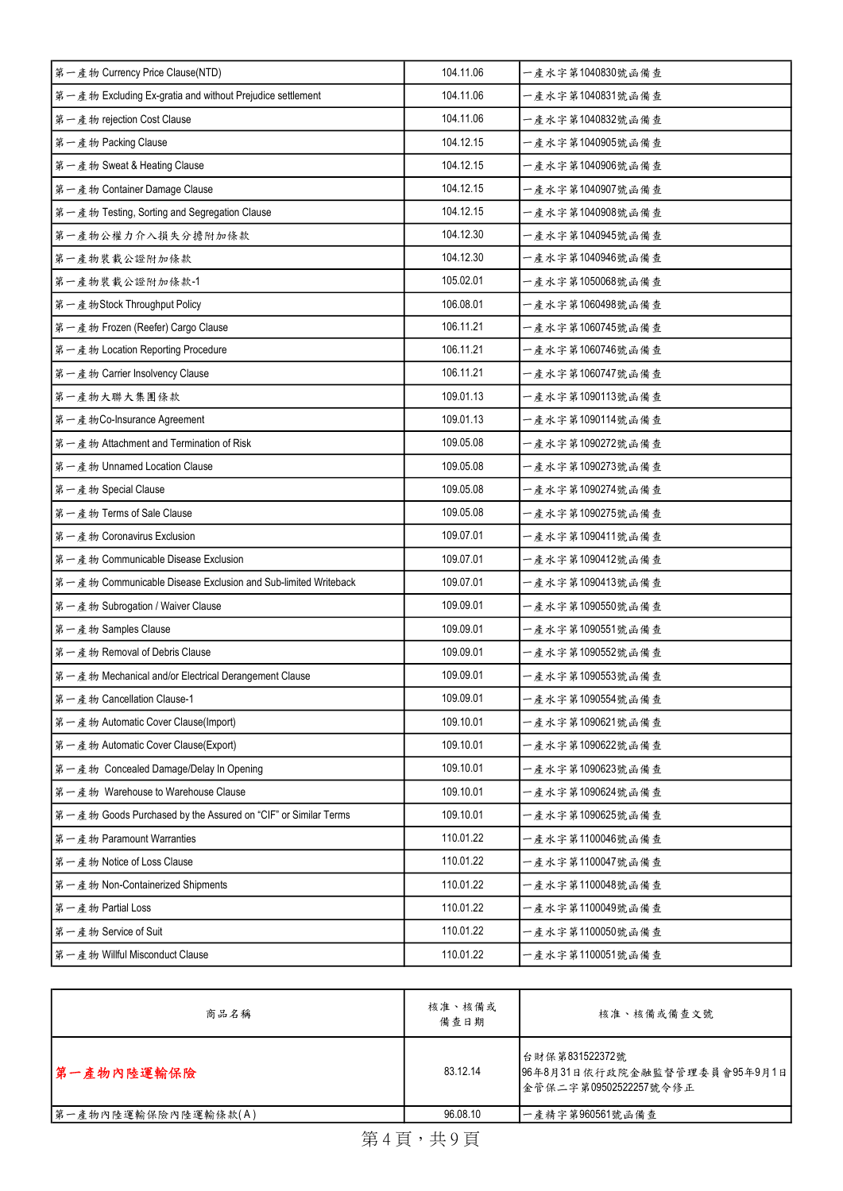| 第一產物 Currency Price Clause(NTD)                               | 104.11.06 | 一產水字第1040830號函備查  |
|---------------------------------------------------------------|-----------|-------------------|
| 第一產物 Excluding Ex-gratia and without Prejudice settlement     | 104.11.06 | 一產水字第1040831號函備查  |
| 第一產物 rejection Cost Clause                                    | 104.11.06 | 一產水字第1040832號函備查  |
| 第一產物 Packing Clause                                           | 104.12.15 | 一產水字第1040905號函備查  |
| 第一產物 Sweat & Heating Clause                                   | 104.12.15 | 一產水字第1040906號函備查  |
| 第一產物 Container Damage Clause                                  | 104.12.15 | -產水字第1040907號函備查  |
| 第一產物 Testing, Sorting and Segregation Clause                  | 104.12.15 | 一產水字第1040908號函備查  |
| 第一產物公權力介入損失分擔附加條款                                             | 104.12.30 | -產水字第1040945號函備查  |
| 第一產物裝載公證附加條款                                                  | 104.12.30 | 一產水字第1040946號函備查  |
| 第一產物裝載公證附加條款-1                                                | 105.02.01 | -產水字第1050068號函備查  |
| 第一產物Stock Throughput Policy                                   | 106.08.01 | 一產水字第1060498號函備查  |
| 第一產物 Frozen (Reefer) Cargo Clause                             | 106.11.21 | -產水字第1060745號函備查  |
| 第一產物 Location Reporting Procedure                             | 106.11.21 | 一產水字第1060746號函備查  |
| 第一產物 Carrier Insolvency Clause                                | 106.11.21 | -產水字第1060747號函備查  |
| 第一產物大聯大集團條款                                                   | 109.01.13 | -產水字第1090113號函備查  |
| 第一產物Co-Insurance Agreement                                    | 109.01.13 | 一產水字第1090114號函備查  |
| 第一產物 Attachment and Termination of Risk                       | 109.05.08 | - 產水字第1090272號函備查 |
| 第一產物 Unnamed Location Clause                                  | 109.05.08 | 一產水字第1090273號函備查  |
| 第一產物 Special Clause                                           | 109.05.08 | - 產水字第1090274號函備查 |
| 第一產物 Terms of Sale Clause                                     | 109.05.08 | 一產水字第1090275號函備查  |
| 第一產物 Coronavirus Exclusion                                    | 109.07.01 | -產水字第1090411號函備查  |
| 第一產物 Communicable Disease Exclusion                           | 109.07.01 | 一產水字第1090412號函備查  |
| 第一產物 Communicable Disease Exclusion and Sub-limited Writeback | 109.07.01 | 一產水字第1090413號函備查  |
| 第一產物 Subrogation / Waiver Clause                              | 109.09.01 | 一產水字第1090550號函備查  |
| 第一產物 Samples Clause                                           | 109.09.01 | -產水字第1090551號函備查  |
| 第一產物 Removal of Debris Clause                                 | 109.09.01 | 一產水字第1090552號函備查  |
| 第一產物 Mechanical and/or Electrical Derangement Clause          | 109.09.01 | 一產水字第1090553號函備查  |
| 第一產物 Cancellation Clause-1                                    | 109.09.01 | 一產水字第1090554號函備查  |
| 第一產物 Automatic Cover Clause(Import)                           | 109.10.01 | -產水字第1090621號函備查  |
| 第一產物 Automatic Cover Clause(Export)                           | 109.10.01 | 一產水字第1090622號函備查  |
| 第一產物 Concealed Damage/Delay In Opening                        | 109.10.01 | 一產水字第1090623號函備查  |
| 第一產物 Warehouse to Warehouse Clause                            | 109.10.01 | - 產水字第1090624號函備查 |
| 第一產物 Goods Purchased by the Assured on "CIF" or Similar Terms | 109.10.01 | 一產水字第1090625號函備查  |
| 第一產物 Paramount Warranties                                     | 110.01.22 | 一產水字第1100046號函備查  |
| 第一產物 Notice of Loss Clause                                    | 110.01.22 | 一產水字第1100047號函備查  |
| 第一產物 Non-Containerized Shipments                              | 110.01.22 | 一產水字第1100048號函備查  |
| 第一產物 Partial Loss                                             | 110.01.22 | 一產水字第1100049號函備查  |
| 第一產物 Service of Suit                                          | 110.01.22 | 一產水字第1100050號函備查  |
| 第一產物 Willful Misconduct Clause                                | 110.01.22 | 一產水字第1100051號函備查  |

| 商品名稱                | 核准、核備或<br>備查日期 | 核准、核備或備查文號                                                               |
|---------------------|----------------|--------------------------------------------------------------------------|
| 第一產物內陸運輸保險          | 83.12.14       | 台財保第831522372號<br>96年8月31日依行政院金融監督管理委員會95年9月1日<br> 金管保二字第09502522257號令修正 |
| 第一產物內陸運輸保險內陸運輸條款(A) | 96.08.10       | 一產精字第960561號函備查                                                          |
|                     |                |                                                                          |

第4頁,共9頁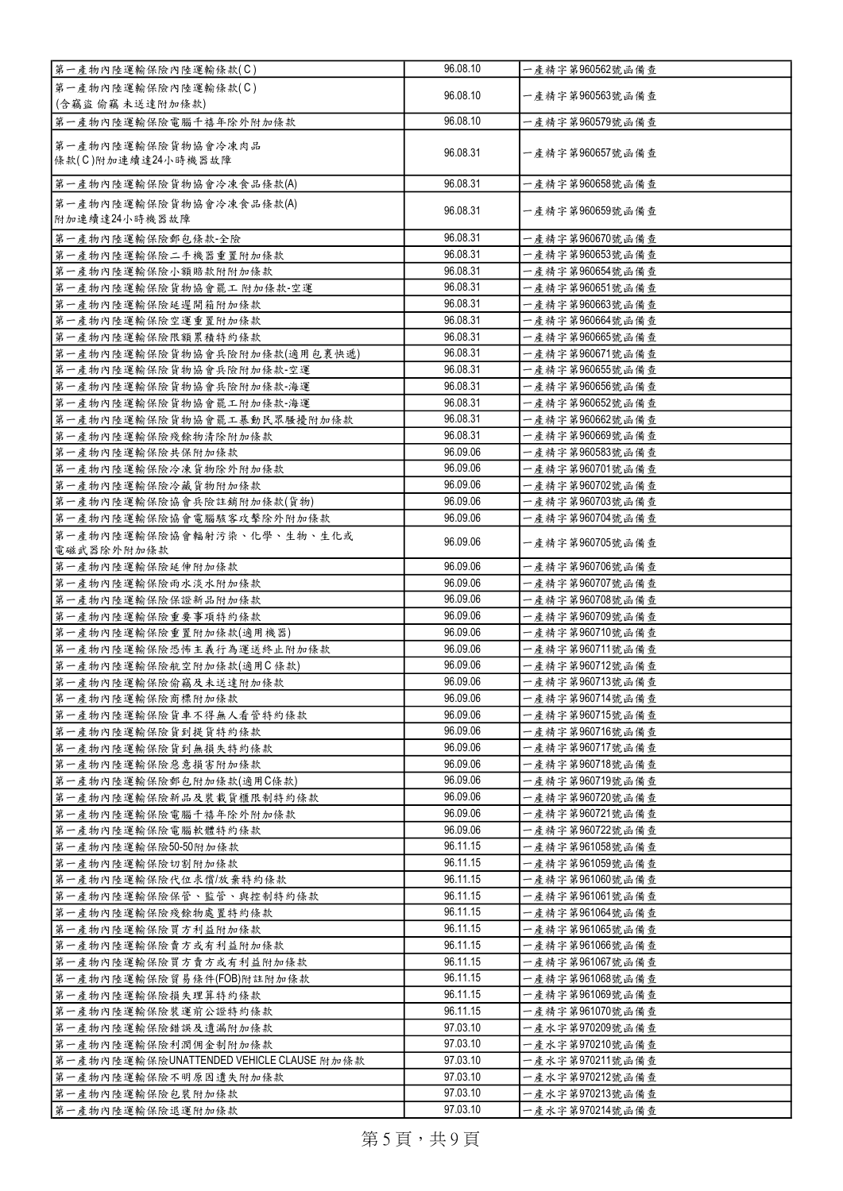| 第一產物內陸運輸保險內陸運輸條款(C)                               | 96.08.10             | 一產精字第960562號函備查                    |
|---------------------------------------------------|----------------------|------------------------------------|
| 第一產物內陸運輸保險內陸運輸條款(C)                               | 96.08.10             | 一產精字第960563號函備查                    |
| (含竊盜 偷竊 未送達附加條款)                                  |                      |                                    |
| 第一產物內陸運輸保險電腦千禧年除外附加條款                             | 96.08.10             | 一產精字第960579號函備查                    |
| 第一產物內陸運輸保險貨物協會冷凍肉品<br>條款(C)附加連續達24小時機器故障          | 96.08.31             | 一產精字第960657號函備查                    |
| 第一產物內陸運輸保險貨物協會冷凍食品條款(A)                           | 96.08.31             | 一產精字第960658號函備查                    |
| 第一產物內陸運輸保險貨物協會冷凍食品條款(A)<br>附加連續達24小時機器故障          | 96.08.31             | 一產精字第960659號函備查                    |
| 第一產物內陸運輸保險郵包條款-全險                                 | 96.08.31             | 一產精字第960670號函備查                    |
| 第一產物內陸運輸保險二手機器重置附加條款                              | 96.08.31             | 一產精字第960653號函備查                    |
| 第一產物內陸運輸保險小額賠款附附加條款                               | 96.08.31             | 一產精字第960654號函備查                    |
| 第一產物內陸運輸保險貨物協會罷工 附加條款-空運                          | 96.08.31             | 一產精字第960651號函備查                    |
| 第一產物內陸運輸保險延遲開箱附加條款                                | 96.08.31             | 一產精字第960663號函備查                    |
| 第一產物內陸運輸保險空運重置附加條款                                | 96.08.31             | 一產精字第960664號函備查                    |
| 第一產物內陸運輸保險限額累積特約條款                                | 96.08.31             | 一產精字第960665號函備查                    |
| 第一產物內陸運輸保險貨物協會兵險附加條款(適用包裹快遞)                      | 96.08.31             | 一產精字第960671號函備查                    |
| 第一產物內陸運輸保險貨物協會兵險附加條款-空運                           | 96.08.31             | 一產精字第960655號函備查                    |
| 第一產物內陸運輸保險貨物協會兵險附加條款-海運                           | 96.08.31<br>96.08.31 | 一產精字第960656號函備查                    |
| 第一產物內陸運輸保險貨物協會罷工附加條款-海運                           | 96.08.31             | 一產精字第960652號函備查<br>一產精字第960662號函備查 |
| 第一產物內陸運輸保險貨物協會罷工暴動民眾騷擾附加條款<br>第一產物內陸運輸保險殘餘物清除附加條款 | 96.08.31             | 一產精字第960669號函備查                    |
| 第一產物內陸運輸保險共保附加條款                                  | 96.09.06             | -產精字第960583號函備查                    |
| 第一產物內陸運輸保險冷凍貨物除外附加條款                              | 96.09.06             | 一產精字第960701號函備查                    |
| 第一產物內陸運輸保險冷藏貨物附加條款                                | 96.09.06             | 一產精字第960702號函備查                    |
| 第一產物內陸運輸保險協會兵險註銷附加條款(貨物)                          | 96.09.06             | 一產精字第960703號函備查                    |
| 第一產物內陸運輸保險協會電腦駭客攻擊除外附加條款                          | 96.09.06             | - 產精字第960704號函備查                   |
| 第一產物內陸運輸保險協會輻射污染、化學、生物、生化或<br>電磁武器除外附加條款          | 96.09.06             | 一產精字第960705號函備查                    |
| 第一產物內陸運輸保險延伸附加條款                                  | 96.09.06             | 一產精字第960706號函備查                    |
| 第一產物內陸運輸保險雨水淡水附加條款                                | 96.09.06             | 一產精字第960707號函備查                    |
| 第一產物內陸運輸保險保證新品附加條款                                | 96.09.06             | 一產精字第960708號函備查                    |
| 第一產物內陸運輸保險重要事項特約條款                                | 96.09.06             | 一產精字第960709號函備查                    |
| 第一產物內陸運輸保險重置附加條款(適用機器)                            | 96.09.06             | 一產精字第960710號函備查                    |
| 第一產物內陸運輸保險恐怖主義行為運送終止附加條款                          | 96.09.06             | 一產精字第960711號函備查                    |
| 第一產物內陸運輸保險航空附加條款(適用C條款)                           | 96.09.06             | 一產精字第960712號函備查                    |
| 第一產物內陸運輸保險偷竊及未送達附加條款                              | 96.09.06             | 一產精字第960713號函備查                    |
| 第一產物內陸運輸保險商標附加條款                                  | 96.09.06             | 一產精字第960714號函備查                    |
| 第一產物內陸運輸保險貨車不得無人看管特約條款                            | 96.09.06             | -產精字第960715號函備查                    |
| 第一產物內陸運輸保險貨到提貨特約條款                                | 96.09.06             | 一產精字第960716號函備查                    |
| 第一產物內陸運輸保險貨到無損失特約條款                               | 96.09.06             | 一產精字第960717號函備查                    |
| 第一產物內陸運輸保險惡意損害附加條款                                |                      |                                    |
| 第一產物內陸運輸保險郵包附加條款(適用C條款)                           | 96.09.06             | 一產精字第960718號函備查                    |
|                                                   | 96.09.06             | 一產精字第960719號函備查                    |
| 第一產物內陸運輸保險新品及裝載貨櫃限制特約條款                           | 96.09.06             | 一產精字第960720號函備查                    |
| 第一產物內陸運輸保險電腦千禧年除外附加條款                             | 96.09.06             | 一產精字第960721號函備查                    |
| 第一產物內陸運輸保險電腦軟體特約條款                                | 96.09.06             | 一產精字第960722號函備查                    |
| 第一產物內陸運輸保險50-50附加條款                               | 96.11.15             | 一產精字第961058號函備查                    |
| 第一產物內陸運輸保險切割附加條款                                  | 96.11.15             | 一產精字第961059號函備查                    |
| 第一產物內陸運輸保險代位求償/放棄特約條款                             | 96.11.15             | 一產精字第961060號函備查                    |
| 第一產物內陸運輸保險保管、監管、與控制特約條款                           | 96.11.15<br>96.11.15 | 一產精字第961061號函備查                    |
| 第一產物內陸運輸保險殘餘物處置特約條款                               | 96.11.15             | 一產精字第961064號函備查                    |
| 第一產物內陸運輸保險買方利益附加條款                                | 96.11.15             | 一產精字第961065號函備查<br>一產精字第961066號函備查 |
| 第一產物內陸運輸保險賣方或有利益附加條款<br>第一產物內陸運輸保險買方賣方或有利益附加條款    | 96.11.15             | 一產精字第961067號函備查                    |
| 第一產物內陸運輸保險貿易條件(FOB)附註附加條款                         | 96.11.15             | 一產精字第961068號函備查                    |
| 第一產物內陸運輸保險損失理算特約條款                                | 96.11.15             | 一產精字第961069號函備查                    |
| 第一產物內陸運輸保險裝運前公證特約條款                               | 96.11.15             | 一產精字第961070號函備查                    |
| 第一產物內陸運輸保險錯誤及遺漏附加條款                               | 97.03.10             | 一產水字第970209號函備查                    |
| 第一產物內陸運輸保險利潤佣金制附加條款                               | 97.03.10             | 一產水字第970210號函備查                    |
| 第一產物內陸運輸保險UNATTENDED VEHICLE CLAUSE 附加條款          | 97.03.10             | 一產水字第970211號函備查                    |
| 第一產物內陸運輸保險不明原因遺失附加條款                              | 97.03.10             | 一產水字第970212號函備查                    |
| 第一產物內陸運輸保險包裝附加條款<br>第一產物內陸運輸保險退運附加條款              | 97.03.10<br>97.03.10 | 一產水字第970213號函備查<br>一產水字第970214號函備查 |

第5頁,共9頁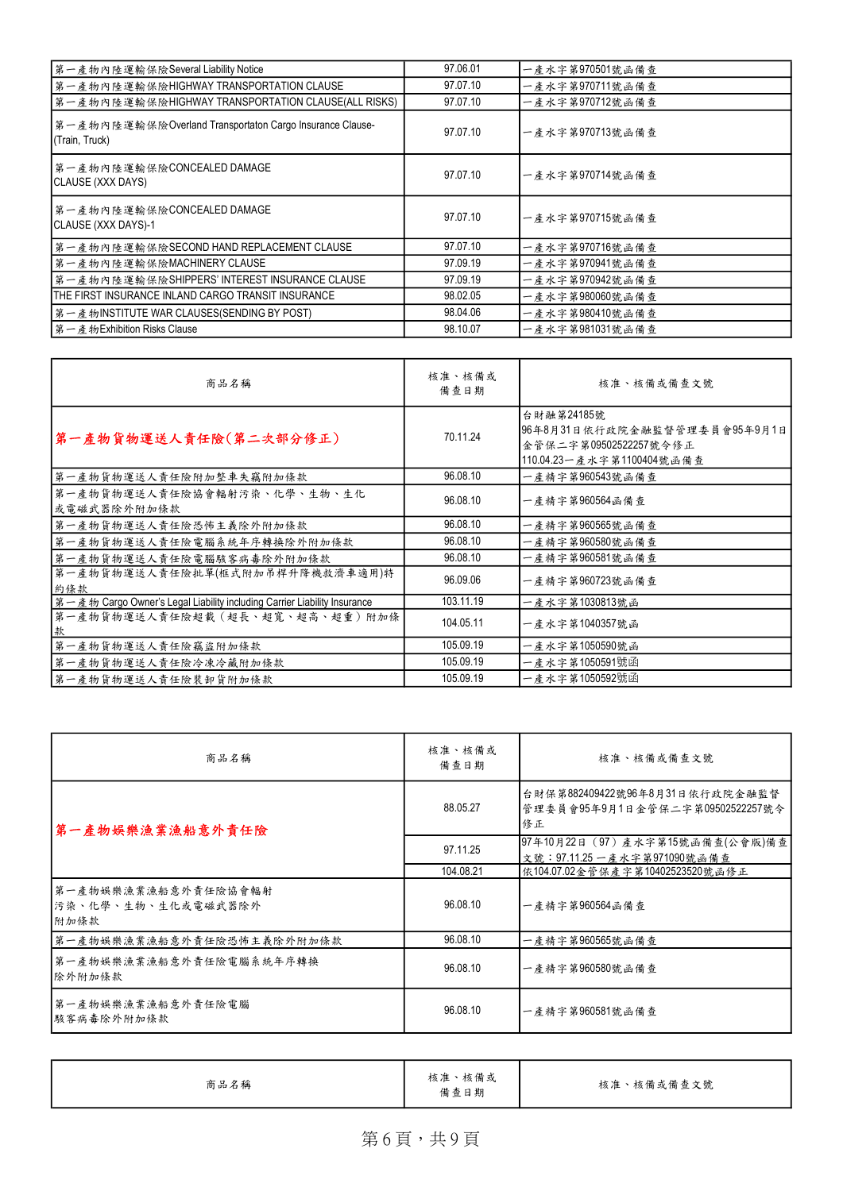| 第一產物內陸運輸保險Several Liability Notice                                         | 97.06.01 | 一產水字第970501號函備查 |
|----------------------------------------------------------------------------|----------|-----------------|
| 第一產物內陸運輸保險HIGHWAY TRANSPORTATION CLAUSE                                    | 97.07.10 | 一產水字第970711號函備查 |
| 第一產物內陸運輸保險HIGHWAY TRANSPORTATION CLAUSE(ALL RISKS)                         | 97.07.10 | 一產水字第970712號函備查 |
| 第一產物內陸運輸保險Overland Transportaton Cargo Insurance Clause-<br>(Train, Truck) | 97.07.10 | 一產水字第970713號函備查 |
| 第一產物內陸運輸保險CONCEALED DAMAGE<br>CLAUSE (XXX DAYS)                            | 97.07.10 | 一產水字第970714號函備查 |
| 第一產物內陸運輸保險CONCEALED DAMAGE <br>CLAUSE (XXX DAYS)-1                         | 97.07.10 | 一產水字第970715號函備查 |
| 第一產物內陸運輸保險SECOND HAND REPLACEMENT CLAUSE                                   | 97.07.10 | 一產水字第970716號函備查 |
| 第一產物內陸運輸保險MACHINERY CLAUSE                                                 | 97.09.19 | 一產水字第970941號函備查 |
| 第一產物內陸運輸保險SHIPPERS' INTEREST INSURANCE CLAUSE                              | 97.09.19 | 一產水字第970942號函備查 |
| THE FIRST INSURANCE INLAND CARGO TRANSIT INSURANCE                         | 98.02.05 | 一產水字第980060號函備查 |
| 第一產物INSTITUTE WAR CLAUSES(SENDING BY POST)                                 | 98.04.06 | 一產水字第980410號函備查 |
| ┃第一產物Exhibition Risks Clause                                               | 98.10.07 | 一產水字第981031號函備查 |

| 商品名稱                                                                     | 核准、核備或<br>備查日期 | 核准、核備或備查文號                                                                                       |
|--------------------------------------------------------------------------|----------------|--------------------------------------------------------------------------------------------------|
| 第一產物貨物運送人責任險(第二次部分修正)                                                    | 70.11.24       | 台財融第24185號<br>96年8月31日依行政院金融監督管理委員會95年9月1日<br>金管保二字第09502522257號令修正<br>110.04.23一產水字第1100404號函備查 |
| 第一產物貨物運送人責任險附加整車失竊附加條款                                                   | 96.08.10       | 一產精字第960543號函備查                                                                                  |
| 第一產物貨物運送人責任險協會輻射污染、化學、生物、生化<br>或電磁武器除外附加條款                               | 96.08.10       | 一產精字第960564函備查                                                                                   |
| 第一產物貨物運送人責任險恐怖主義除外附加條款                                                   | 96.08.10       | 一產精字第960565號函備查                                                                                  |
| 第一產物貨物運送人責任險電腦系統年序轉換除外附加條款                                               | 96.08.10       | 一產精字第960580號函備查                                                                                  |
| 第一產物貨物運送人責任險電腦駭客病毒除外附加條款                                                 | 96.08.10       | 一產精字第960581號函備查                                                                                  |
| 第一產物貨物運送人責任險批單(框式附加吊桿升降機救濟車適用)特<br>約條款                                   | 96.09.06       | 一產精字第960723號函備查                                                                                  |
| 第一產物 Cargo Owner's Legal Liability including Carrier Liability Insurance | 103.11.19      | 一產水字第1030813號函                                                                                   |
| 第一產物貨物運送人責任險超載(超長、超寬、超高、超重)附加條                                           | 104.05.11      | 一產水字第1040357號函                                                                                   |
| 第一產物貨物運送人責任險竊盜附加條款                                                       | 105.09.19      | 一產水字第1050590號函                                                                                   |
| 第一產物貨物運送人責任險冷凍冷藏附加條款                                                     | 105.09.19      | 一產水字第1050591號函                                                                                   |
| 第一產物貨物運送人責任險裝卸貨附加條款                                                      | 105.09.19      | 一產水字第1050592號函                                                                                   |

| 商品名稱                                                | 核准、核備或<br>備查日期 | 核准、核備或備查文號                                                              |
|-----------------------------------------------------|----------------|-------------------------------------------------------------------------|
| 第一產物娛樂漁業漁船意外責任險                                     | 88.05.27       | 台財保第882409422號96年8月31日依行政院金融監督<br>管理委員會95年9月1日金管保二字第09502522257號令<br>修正 |
|                                                     | 97.11.25       | 97年10月22日 (97) 產水字第15號函備查(公會版)備查<br>文號: 97.11.25 一產水字第971090號函備查        |
|                                                     | 104.08.21      | 依104.07.02金管保產字第10402523520號函修正                                         |
| 第一產物娛樂漁業漁船意外責任險協會輻射<br> 污染、化學、生物、生化或電磁武器除外 <br>附加條款 | 96.08.10       | 一產精字第960564函備查                                                          |
| 第一產物娛樂漁業漁船意外責任險恐怖主義除外附加條款                           | 96.08.10       | 一產精字第960565號函備查                                                         |
| 第一產物娛樂漁業漁船意外責任險電腦系統年序轉換<br>除外附加條款                   | 96.08.10       | 一產精字第960580號函備查                                                         |
| 第一產物娛樂漁業漁船意外責任險電腦<br>駭客病毒除外附加條款                     | 96.08.10       | 一產精字第960581號函備查                                                         |

| 商品名稱 | 核准、核備或<br>備查日期 | 核准、核備或備查文號 |
|------|----------------|------------|
|------|----------------|------------|

## 第6頁,共9頁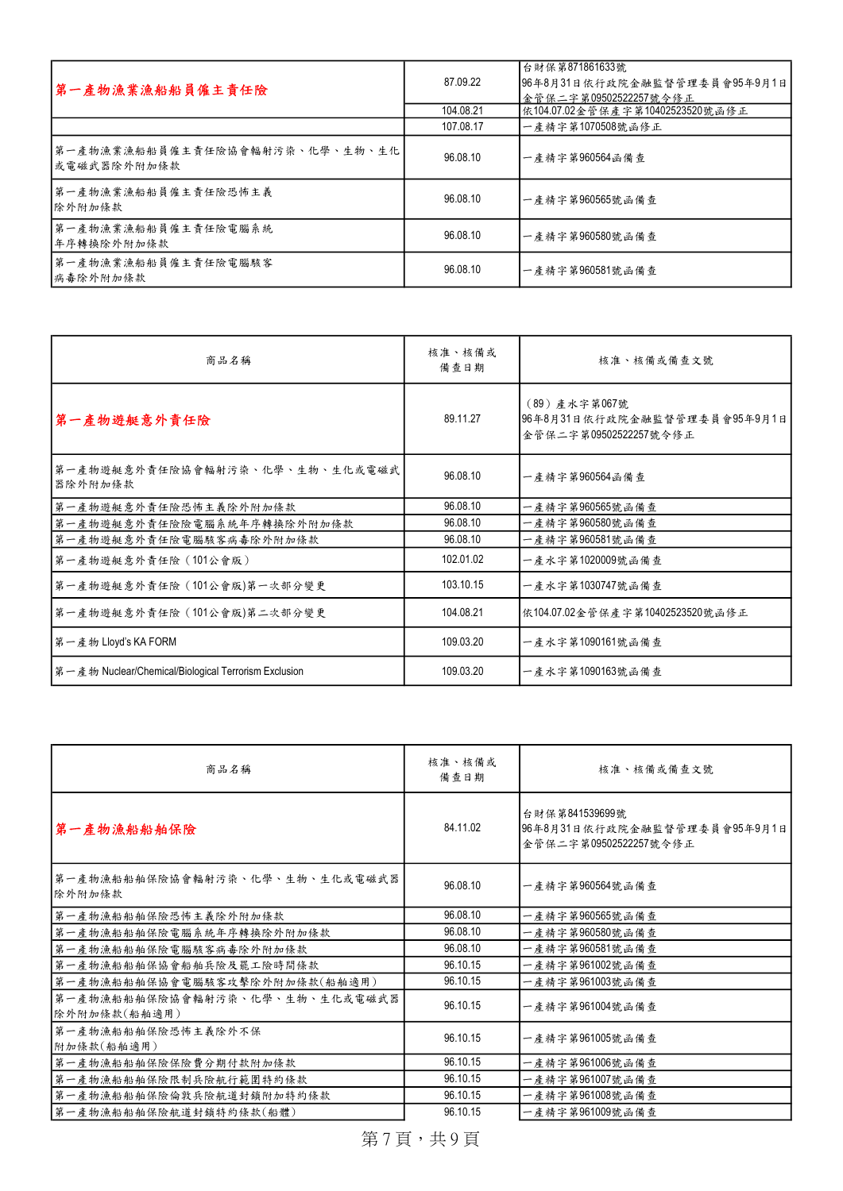| 第一產物漁業漁船船員僱主責任險                                | 87.09.22  | 台財保第871861633號<br>96年8月31日依行政院金融監督管理委員會95年9月1日<br> 金管保二字第09502522257號令修正 |
|------------------------------------------------|-----------|--------------------------------------------------------------------------|
|                                                | 104.08.21 | 依104.07.02金管保產字第10402523520號函修正                                          |
|                                                | 107.08.17 | 一產精字第1070508號函修正                                                         |
| 第一產物漁業漁船船員僱主責任險協會輻射污染、化學、生物、生化<br> 或電磁武器除外附加條款 | 96.08.10  | 一產精字第960564函備查                                                           |
| 第一產物漁業漁船船員僱主責任險恐怖主義<br>除外附加條款                  | 96.08.10  | 一產精字第960565號函備查                                                          |
| 第一產物漁業漁船船員僱主責任險電腦系統<br> 年序轉換除外附加條款             | 96.08.10  | 一產精字第960580號函備查                                                          |
| 第一產物漁業漁船船員僱主責任險電腦駭客<br>病毒除外附加條款                | 96.08.10  | 一產精字第960581號函備查                                                          |

| 商品名稱                                                 | 核准、核備或<br>備查日期 | 核准、核備或備查文號                                                              |
|------------------------------------------------------|----------------|-------------------------------------------------------------------------|
| 第一產物遊艇意外責任險                                          | 89.11.27       | (89) 產水字第067號<br> 96年8月31日依行政院金融監督管理委員會95年9月1日<br>金管保二字第09502522257號令修正 |
| 第一產物遊艇意外責任險協會輻射污染、化學、生物、生化或電磁武 <br>器除外附加條款           | 96.08.10       | 一產精字第960564函備查                                                          |
| 第一產物遊艇意外責任險恐怖主義除外附加條款                                | 96.08.10       | 一產精字第960565號函備查                                                         |
| 第一產物遊艇意外責任險險電腦系統年序轉換除外附加條款                           | 96.08.10       | 一產精字第960580號函備查                                                         |
| 第一產物遊艇意外責任險電腦駭客病毒除外附加條款                              | 96.08.10       | 一產精字第960581號函備查                                                         |
| 第一產物遊艇意外責任險(101公會版)                                  | 102.01.02      | 一產水字第1020009號函備查                                                        |
| 第一產物遊艇意外責任險 (101公會版)第一次部分變更                          | 103.10.15      | 一產水字第1030747號函備查                                                        |
| 第一產物遊艇意外責任險 (101公會版)第二次部分變更                          | 104.08.21      | 依104.07.02金管保產字第10402523520號函修正                                         |
| 第一產物 Lloyd's KA FORM                                 | 109.03.20      | 一產水字第1090161號函備查                                                        |
| 第一產物 Nuclear/Chemical/Biological Terrorism Exclusion | 109.03.20      | 一產水字第1090163號函備查                                                        |

| 商品名稱                                           | 核准、核備或<br>備查日期 | 核准、核備或備查文號                                                              |
|------------------------------------------------|----------------|-------------------------------------------------------------------------|
| 第一產物漁船船舶保險                                     | 84.11.02       | 台財保第841539699號<br>96年8月31日依行政院金融監督管理委員會95年9月1日<br>金管保二字第09502522257號令修正 |
| 第一產物漁船船舶保險協會輻射污染、化學、生物、生化或電磁武器<br>除外附加條款       | 96.08.10       | 一產精字第960564號函備查                                                         |
| 第一產物漁船船舶保險恐怖主義除外附加條款                           | 96.08.10       | 一產精字第960565號函備查                                                         |
| 第一產物漁船船舶保險電腦系統年序轉換除外附加條款                       | 96.08.10       | 一產精字第960580號函備查                                                         |
| 第一產物漁船船舶保險電腦駭客病毒除外附加條款                         | 96.08.10       | 一產精字第960581號函備查                                                         |
| 第一產物漁船船舶保協會船舶兵險及罷工險時間條款                        | 96.10.15       | 一產精字第961002號函備查                                                         |
| 第一產物漁船船舶保協會電腦駭客攻擊除外附加條款(船舶適用)                  | 96.10.15       | 一產精字第961003號函備查                                                         |
| 第一產物漁船船舶保險協會輻射污染、化學、生物、生化或電磁武器<br>除外附加條款(船舶適用) | 96.10.15       | 一產精字第961004號函備查                                                         |
| 第一產物漁船船舶保險恐怖主義除外不保<br>附加條款(船舶適用)               | 96.10.15       | 一產精字第961005號函備查                                                         |
| 第一產物漁船船舶保險保險費分期付款附加條款                          | 96.10.15       | 一產精字第961006號函備查                                                         |
| 第一產物漁船船舶保險限制兵險航行範圍特約條款                         | 96.10.15       | 一產精字第961007號函備查                                                         |
| 第一產物漁船船舶保險倫敦兵險航道封鎖附加特約條款                       | 96.10.15       | 一產精字第961008號函備查                                                         |
| 第一產物漁船船舶保險航道封鎖特約條款(船體)                         | 96.10.15       | 一產精字第961009號函備查                                                         |

第7頁,共9頁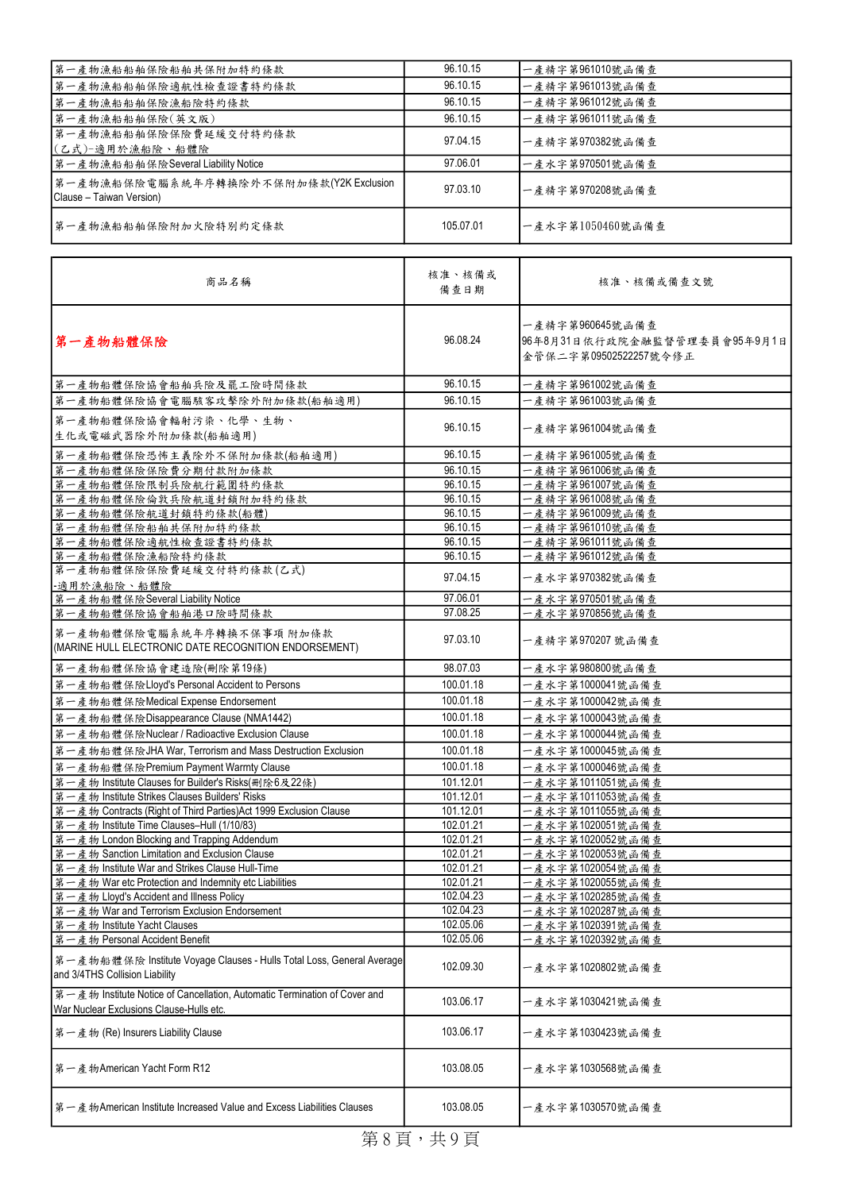| 第一產物漁船船舶保險船舶共保附加特約條款                                               | 96.10.15  | 一產精字第961010號函備查  |
|--------------------------------------------------------------------|-----------|------------------|
| 第一產物漁船船舶保險適航性檢查證書特約條款                                              | 96.10.15  | 一產精字第961013號函備查  |
| 第一產物漁船船舶保險漁船險特約條款                                                  | 96.10.15  | 一產精字第961012號函備查  |
| 第一產物漁船船舶保險(英文版)                                                    | 96.10.15  | 一產精字第961011號函備查  |
| 第一產物漁船船舶保險保險費延緩交付特約條款<br>(乙式)-適用於漁船險、船體險                           | 97.04.15  | 一產精字第970382號函備查  |
| 第一產物漁船船舶保險Several Liability Notice                                 | 97.06.01  | 一產水字第970501號函備查  |
| 第一產物漁船保險電腦系統年序轉換除外不保附加條款(Y2K Exclusion<br>Clause - Taiwan Version) | 97.03.10  | 一產精字第970208號函備查  |
| 第一產物漁船船舶保險附加火險特別約定條款                                               | 105.07.01 | 一產水字第1050460號函備查 |

| 商品名稱                                                                                                                  | 核准、核備或<br>備查日期 | 核准、核備或備查文號                                                               |
|-----------------------------------------------------------------------------------------------------------------------|----------------|--------------------------------------------------------------------------|
| 第一產物船體保險                                                                                                              | 96.08.24       | 一產精字第960645號函備查<br>96年8月31日依行政院金融監督管理委員會95年9月1日<br>金管保二字第09502522257號令修正 |
| 第一產物船體保險協會船舶兵險及罷工險時間條款                                                                                                | 96.10.15       | 一產精字第961002號函備查                                                          |
| 第一產物船體保險協會電腦駭客攻擊除外附加條款(船舶適用)                                                                                          | 96.10.15       | 一產精字第961003號函備查                                                          |
| 第一產物船體保險協會輻射污染、化學、生物、<br>生化或電磁武器除外附加條款(船舶適用)                                                                          | 96.10.15       | 一產精字第961004號函備查                                                          |
| 第一產物船體保險恐怖主義除外不保附加條款(船舶適用)                                                                                            | 96.10.15       | 一產精字第961005號函備查                                                          |
| 第一產物船體保險保險費分期付款附加條款                                                                                                   | 96.10.15       | 一產精字第961006號函備查                                                          |
| 第一產物船體保險限制兵險航行範圍特約條款                                                                                                  | 96.10.15       | 一產精字第961007號函備查                                                          |
| 第一產物船體保險倫敦兵險航道封鎖附加特約條款                                                                                                | 96.10.15       | 一產精字第961008號函備查                                                          |
| 第一產物船體保險航道封鎖特約條款(船體)                                                                                                  | 96.10.15       | 一產精字第961009號函備查                                                          |
| 第一產物船體保險船舶共保附加特約條款                                                                                                    | 96.10.15       | 一產精字第961010號函備查                                                          |
| 第一產物船體保險適航性檢查證書特約條款                                                                                                   | 96.10.15       | 一產精字第961011號函備查                                                          |
| 第一產物船體保險漁船險特約條款                                                                                                       | 96.10.15       | 一產精字第961012號函備查                                                          |
| 第一產物船體保險保險費延緩交付特約條款(乙式)<br>-適用於漁船險、船體險                                                                                | 97.04.15       | 一產水字第970382號函備查                                                          |
| 第一產物船體保險Several Liability Notice                                                                                      | 97.06.01       | 一產水字第970501號函備查                                                          |
| 第一產物船體保險協會船舶港口險時間條款                                                                                                   | 97.08.25       | 一產水字第970856號函備查                                                          |
| 第一產物船體保險電腦系統年序轉換不保事項 附加條款<br>(MARINE HULL ELECTRONIC DATE RECOGNITION ENDORSEMENT)                                    | 97.03.10       | 一產精字第970207 號函備查                                                         |
| 第一產物船體保險協會建造險(刪除第19條)                                                                                                 | 98.07.03       | 一產水字第980800號函備查                                                          |
| 第一產物船體保險Lloyd's Personal Accident to Persons                                                                          | 100.01.18      | - 產水字第1000041號函備查                                                        |
| 第一產物船體保險Medical Expense Endorsement                                                                                   | 100.01.18      | - 產水字第1000042號函備查                                                        |
| 第一產物船體保險Disappearance Clause (NMA1442)                                                                                | 100.01.18      | - 產水字第1000043號函備查                                                        |
| 第一產物船體保險Nuclear / Radioactive Exclusion Clause                                                                        | 100.01.18      | 一產水字第1000044號函備查                                                         |
| 第一產物船體保險JHA War, Terrorism and Mass Destruction Exclusion                                                             | 100.01.18      | 一產水字第1000045號函備查                                                         |
| 第一產物船體保險Premium Payment Warrnty Clause                                                                                | 100.01.18      | 一產水字第1000046號函備查                                                         |
| 第一產物 Institute Clauses for Builder's Risks(刪除6及22條)                                                                   | 101.12.01      | 一產水字第1011051號函備查                                                         |
| 第一產物 Institute Strikes Clauses Builders' Risks                                                                        | 101.12.01      | 一產水字第1011053號函備查                                                         |
| 第一產物 Contracts (Right of Third Parties) Act 1999 Exclusion Clause                                                     | 101.12.01      | -產水字第1011055號函備查                                                         |
| 第一產物 Institute Time Clauses-Hull (1/10/83)                                                                            | 102.01.21      | 一產水字第1020051號函備查                                                         |
| 第一產物 London Blocking and Trapping Addendum                                                                            | 102.01.21      | 一產水字第1020052號函備查                                                         |
| 第一產物 Sanction Limitation and Exclusion Clause                                                                         | 102.01.21      | 一產水字第1020053號函備查                                                         |
| 第一產物 Institute War and Strikes Clause Hull-Time                                                                       | 102.01.21      | 一產水字第1020054號函備查                                                         |
| 第一產物 War etc Protection and Indemnity etc Liabilities                                                                 | 102.01.21      | 一產水字第1020055號函備查                                                         |
| 第一產物 Lloyd's Accident and Illness Policy                                                                              | 102.04.23      | -產水字第1020285號函備查                                                         |
| 第一產物 War and Terrorism Exclusion Endorsement                                                                          | 102.04.23      | 一產水字第1020287號函備查                                                         |
| 第一產物 Institute Yacht Clauses                                                                                          | 102.05.06      | - 產水字第1020391號函備查                                                        |
| 第一產物 Personal Accident Benefit                                                                                        | 102.05.06      | ·產水字第1020392號函備查                                                         |
| 第一產物船體保險 Institute Voyage Clauses - Hulls Total Loss, General Average<br>and 3/4THS Collision Liability               | 102.09.30      | 一產水字第1020802號函備查                                                         |
| 第一產物 Institute Notice of Cancellation, Automatic Termination of Cover and<br>War Nuclear Exclusions Clause-Hulls etc. | 103.06.17      | 一產水字第1030421號函備查                                                         |
| 第一產物 (Re) Insurers Liability Clause                                                                                   | 103.06.17      | 一產水字第1030423號函備查                                                         |
| 第一產物American Yacht Form R12                                                                                           | 103.08.05      | 一產水字第1030568號函備查                                                         |
| 第一產物American Institute Increased Value and Excess Liabilities Clauses                                                 | 103.08.05      | 一產水字第1030570號函備查                                                         |